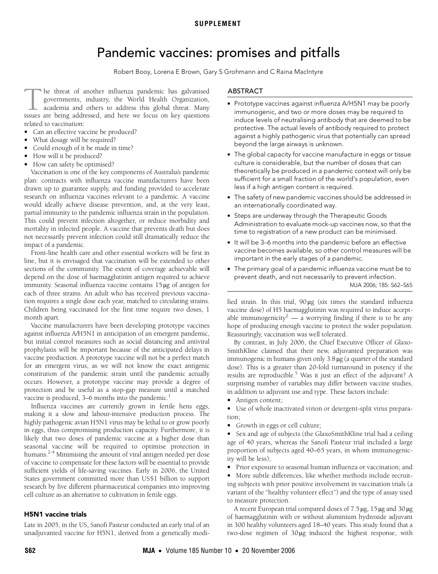## **SUPPLEMENT**

# Pandemic vaccines: promises and pitfalls

Robert Booy, Lorena E Brown, Gary S Grohmann and C Raina MacIntyre

<span id="page-0-0"></span>he threat of another influenza pandemic has galvanised governments, industry, the World Health Organization, academia and others to address this global threat. Many In the threat of another influenza pandemic has galvanised governments, industry, the World Health Organization, academia and others to address this global threat. Many issues are being addressed, and here we focus on key related to vaccination:

- Can an effective vaccine be produced?
- What dosage will be required?
- Could enough of it be made in time?
- How will it be produced?
- How can safety be optimised?

riow can salety be optimised:<br>Vaccination is [one](#page-0-0) of the key compone[nts](#page-3-4) of Australia's pandemic  $\frac{20}{100}$  changed in the Key components plan: contracts with influenza vaccine manufacturers have been drawn up to guarantee supply, and funding provided to accelerate research on influenza vaccines relevant to a pandemic. A vaccine would ideally achieve disease prevention, and, at the very least, partial immunity to the pandemic influenza strain in the population. This could prevent infection altogether, or reduce morbidity and mortality in infected people. A vaccine that prevents death but does not necessarily prevent infection could still dramatically reduce the impact of a pandemic.

Front-line health care and other essential workers will be first in line, but it is envisaged that vaccination will be extended to other sections of the community. The extent of coverage achievable will depend on the dose of haemagglutinin antigen required to achieve immunity. Seasonal influenza vaccine contains 15 μg of antigen for each of three strains. An adult who has received previous vaccination requires a single dose each year, matched to circulating strains. Children being vaccinated for the first time require two doses, 1 month apart.

Vaccine manufacturers have been developing prototype vaccines against influenza A/H5N1 in anticipation of an emergent pandemic, but initial control measures such as social distancing and antiviral prophylaxis will be important because of the anticipated delays in vaccine production. A prototype vaccine will not be a perfect match for an emergent virus, as we will not know the exact antigenic constitution of the pandemic strain until the pandemic actually occurs. However, a prototype vaccine may provide a degree of protection and be useful as a stop-gap measure until a matched vaccine is produced,  $3-6$  months into the pandemic.<sup>[1](#page-3-0)</sup>

Influenza vaccines are currently grown in fertile hens eggs, making it a slow and labour-intensive production process. The highly pathogenic avian H5N1 virus may be lethal to or grow poorly in eggs, thus compromising production capacity. Furthermore, it is likely that two doses of pandemic vaccine at a higher dose than seasonal vaccine will be required to optimise protection in humans.<sup>2-[4](#page-3-2)</sup> Minimising the amount of viral antigen needed per dose of vaccine to compensate for these factors will be essential to provide sufficient yields of life-saving vaccines. Early in 2006, the United States government committed more than US\$1 billion to support research by five different pharmaceutical companies into improving cell culture as an alternative to cultivation in fertile eggs.

#### H5N1 vaccine trials

Late in 2005, in the US, Sanofi Pasteur conducted an early trial of an unadjuvanted vaccine for H5N1, derived from a genetically modi-

# ABSTRACT

- Prototype vaccines against influenza A/H5N1 may be poorly immunogenic, and two or more doses may be required to induce levels of neutralising antibody that are deemed to be protective. The actual levels of antibody required to protect against a highly pathogenic virus that potentially can spread beyond the large airways is unknown.
- The global capacity for vaccine manufacture in eggs or tissue culture is considerable, but the number of doses that can theoretically be produced in a pandemic context will only be sufficient for a small fraction of the world's population, even less if a high antigen content is required.
- The safety of new pandemic vaccines should be addressed in an internationally coordinated way.
- Steps are underway through the Therapeutic Goods Administration to evaluate mock-up vaccines now, so that the time to registration of a new product can be minimised.
- It will be 3–6 months into the pandemic before an effective vaccine becomes available, so other control measures will be important in the early stages of a pandemic.
- The primary goal of a pandemic influenza vaccine must be to prevent death, and not necessarily to prevent infection.

MJA 2006; 185: S62–S65

fied strain. In this trial, 90 μg (six times the standard influenza vaccine dose) of H5 haemagglutinin was required to induce accept-able immunogenicity<sup>[2](#page-3-1)</sup> — a worrying finding if there is to be any hope of producing enough vaccine to protect the wider population. Reassuringly, vaccination was well tolerated.

By contrast, in July 2006, the Chief Executive Officer of Glaxo-SmithKline claimed that their new, adjuvanted preparation was immunogenic in humans given only 3.8 μg (a quarter of the standard dose). This is a greater than 20-fold turnaround in potency if the results are reproducible.<sup>5</sup> Was it just an effect of the adjuvant? A surprising number of variables may differ between vaccine studies, in addition to adjuvant use and type. These factors include:

• Antigen content;

• Use of whole inactivated virion or detergent-split virus preparation;

• Growth in eggs or cell culture;

• Sex and age of subjects (the GlaxoSmithKline trial had a ceiling age of 40 years, whereas the Sanofi Pasteur trial included a large proportion of subjects aged 40–65 years, in whom immunogenicity will be less);

• Prior exposure to seasonal human influenza or vaccination; and

• More subtle differences, like whether methods include recruiting subjects with prior positive involvement in vaccination trials (a variant of the "healthy volunteer effect") and the type of assay used to measure protection.

A recent European trial compared doses of 7.5 μg, 15 μg and 30 μg of haemagglutinin with or without aluminium hydroxide adjuvant in 300 healthy volunteers aged 18–40 years. This study found that a two-dose regimen of 30μg induced the highest response, with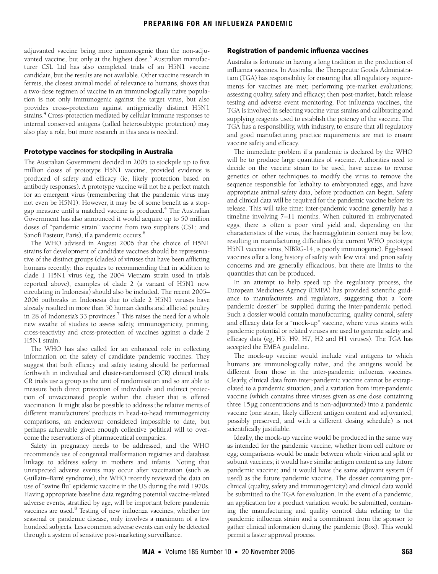adjuvanted vaccine being more immunogenic than the non-adju-vanted vaccine, but only at the highest dose.<sup>[3](#page-3-5)</sup> Australian manufacturer CSL Ltd has also completed trials of an H5N1 vaccine candidate, but the results are not available. Other vaccine research in ferrets, the closest animal model of relevance to humans, shows that a two-dose regimen of vaccine in an immunologically naïve population is not only immunogenic against the target virus, but also provides cross-protection against antigenically distinct H5N1 strains.<sup>[4](#page-3-2)</sup> Cross-protection mediated by cellular immune responses to internal conserved antigens (called heterosubtypic protection) may also play a role, but more research in this area is needed.

#### Prototype vaccines for stockpiling in Australia

The Australian Government decided in 2005 to stockpile up to five million doses of prototype H5N1 vaccine, provided evidence is produced of safety and efficacy (ie, likely protection based on antibody responses). A prototype vaccine will not be a perfect match for an emergent virus (remembering that the pandemic virus may not even be H5N1). However, it may be of some benefit as a stopgap measure until a matched vaccine is produced.<sup>4</sup> The Australian Government has also announced it would acquire up to 50 million doses of "pandemic strain" vaccine from two suppliers (CSL; and Sanofi Pasteur, Paris), if a pandemic occurs.<sup>[6](#page-3-6)</sup>

The WHO advised in August 2006 that the choice of H5N1 strains for development of candidate vaccines should be representative of the distinct groups (clades) of viruses that have been afflicting humans recently; this equates to recommending that in addition to clade 1 H5N1 virus (eg, the 2004 Vietnam strain used in trials reported above), examples of clade 2 (a variant of H5N1 now circulating in Indonesia) should also be included. The recent 2005– 2006 outbreaks in Indonesia due to clade 2 H5N1 viruses have already resulted in more than 50 human deaths and afflicted poultry in 28 of Indonesia's 33 provinces.<sup>7</sup> This raises the need for a whole new swathe of studies to assess safety, immunogenicity, priming, cross-reactivity and cross-protection of vaccines against a clade 2 H5N1 strain.

The WHO has also called for an enhanced role in collecting information on the safety of candidate pandemic vaccines. They suggest that both efficacy and safety testing should be performed forthwith in individual and cluster-randomised (CR) clinical trials. CR trials use a group as the unit of randomisation and so are able to measure both direct protection of individuals and indirect protection of unvaccinated people within the cluster that is offered vaccination. It might also be possible to address the relative merits of different manufacturers' products in head-to-head immunogenicity comparisons, an endeavour considered impossible to date, but perhaps achievable given enough collective political will to overcome the reservations of pharmaceutical companies.

Safety in pregnancy needs to be addressed, and the WHO recommends use of congenital malformation registries and database linkage to address safety in mothers and infants. Noting that unexpected adverse events may occur after vaccination (such as Guillain–Barré syndrome), the WHO recently reviewed the data on use of "swine flu" epidemic vaccine in the US during the mid 1970s. Having appropriate baseline data regarding potential vaccine-related adverse events, stratified by age, will be important before pandemic vaccines are used.<sup>8</sup> Testing of new influenza vaccines, whether for seasonal or pandemic disease, only involves a maximum of a few hundred subjects. Less common adverse events can only be detected through a system of sensitive post-marketing surveillance.

### Registration of pandemic influenza vaccines

Australia is fortunate in having a long tradition in the production of influenza vaccines. In Australia, the Therapeutic Goods Administration (TGA) has responsibility for ensuring that all regulatory requirements for vaccines are met; performing pre-market evaluations; assessing quality, safety and efficacy; then post-market, batch release testing and adverse event monitoring. For influenza vaccines, the TGA is involved in selecting vaccine virus strains and calibrating and supplying reagents used to establish the potency of the vaccine. The TGA has a responsibility, with industry, to ensure that all regulatory and good manufacturing practice requirements are met to ensure vaccine safety and efficacy.

The immediate problem if a pandemic is declared by the WHO will be to produce large quantities of vaccine. Authorities need to decide on the vaccine strain to be used, have access to reverse genetics or other techniques to modify the virus to remove the sequence responsible for lethality to embryonated eggs, and have appropriate animal safety data, before production can begin. Safety and clinical data will be required for the pandemic vaccine before its release. This will take time: inter-pandemic vaccine generally has a timeline involving 7–11 months. When cultured in embryonated eggs, there is often a poor viral yield and, depending on the characteristics of the virus, the haemagglutinin content may be low, resulting in manufacturing difficulties (the current WHO prototype H5N1 vaccine virus, NIBRG-14, is poorly immunogenic). Egg-based vaccines offer a long history of safety with few viral and prion safety concerns and are generally efficacious, but there are limits to the quantities that can be produced.

In an attempt to help speed up the regulatory process, the European Medicines Agency (EMEA) has provided scientific guidance to manufacturers and regulators, suggesting that a "core pandemic dossier" be supplied during the inter-pandemic period. Such a dossier would contain manufacturing, quality control, safety and efficacy data for a "mock-up" vaccine, where virus strains with pandemic potential or related viruses are used to generate safety and efficacy data (eg, H5, H9, H7, H2 and H1 viruses). The TGA has accepted the EMEA guideline.

The mock-up vaccine would include viral antigens to which humans are immunologically naïve, and the antigens would be different from those in the inter-pandemic influenza vaccines. Clearly, clinical data from inter-pandemic vaccine cannot be extrapolated to a pandemic situation, and a variation from inter-pandemic vaccine (which contains three viruses given as one dose containing three 15 μg concentrations and is non-adjuvanted) into a pandemic vaccine (one strain, likely different antigen content and adjuvanted, possibly preserved, and with a different dosing schedule) is not scientifically justifiable.

Ideally, the mock-up vaccine would be produced in the same way as intended for the pandemic vaccine, whether from cell culture or egg; comparisons would be made between whole virion and split or subunit vaccines; it would have similar antigen content as any future pandemic vaccine; and it would have the same adjuvant system (if used) as the future pandemic vaccine. The dossier containing preclinical (quality, safety and immunogenicity) and clinical data would be submitted to the TGA for evaluation. In the event of a pandemic, an application for a product variation would be submitted, containing the manufacturing and quality control data relating to the pandemic influenza strain and a commitment from the sponsor to gather clinical information during the pandemic (Box). This would permit a faster approval process.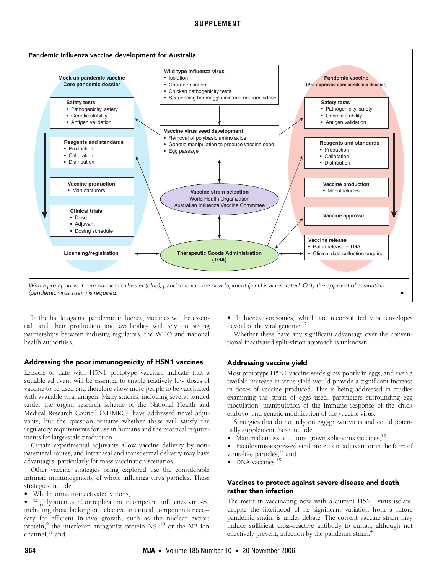# **SUPPLEMENT**



In the battle against pandemic influenza, vaccines will be essential, and their production and availability will rely on strong partnerships between industry, regulators, the WHO and national health authorities.

#### Addressing the poor immunogenicity of H5N1 vaccines

Lessons to date with H5N1 prototype vaccines indicate that a suitable adjuvant will be essential to enable relatively low doses of vaccine to be used and therefore allow more people to be vaccinated with available viral antigen. Many studies, including several funded under the urgent research scheme of the National Health and Medical Research Council (NHMRC), have addressed novel adjuvants, but the question remains whether these will satisfy the regulatory requirements for use in humans and the practical requirements for large-scale production.

Certain experimental adjuvants allow vaccine delivery by nonparenteral routes, and intranasal and transdermal delivery may have advantages, particularly for mass vaccination scenarios.

Other vaccine strategies being explored use the considerable intrinsic immunogenicity of whole influenza virus particles. These strategies include:

• Whole formalin-inactivated virions;

• Highly attenuated or replication incompetent influenza viruses, including those lacking or defective in critical components necessary for efficient in-vivo growth, such as the nuclear export protein, <sup>[9](#page-3-8)</sup> the interferon antagonist protein NS1<sup>10</sup> or the M2 ion  $charnel:$ <sup>11</sup> and

• Influenza virosomes, which are reconstituted viral envelopes devoid of the viral genome.<sup>12</sup>

Whether these have any significant advantage over the conventional inactivated split-virion approach is unknown.

#### Addressing vaccine yield

Most prototype H5N1 vaccine seeds grow poorly in eggs, and even a twofold increase in virus yield would provide a significant increase in doses of vaccine produced. This is being addressed in studies examining the strain of eggs used, parameters surrounding egg inoculation, manipulation of the immune response of the chick embryo, and genetic modification of the vaccine virus.

Strategies that do not rely on egg-grown virus and could potentially supplement these include:

- Mammalian tissue culture grown split-virus vaccines; $^{13}$  $^{13}$  $^{13}$
- Baculovirus-expressed viral proteins in adjuvant or in the form of virus-like particles;<sup>14</sup> and
- DNA vaccines.<sup>15</sup>

### Vaccines to protect against severe disease and death rather than infection

The merit in vaccinating now with a current H5N1 virus isolate, despite the likelihood of its significant variation from a future pandemic strain, is under debate. The current vaccine strain may induce sufficient cross-reactive antibody to curtail, although not effectively prevent, infection by the pandemic strain[.4](#page-3-2)